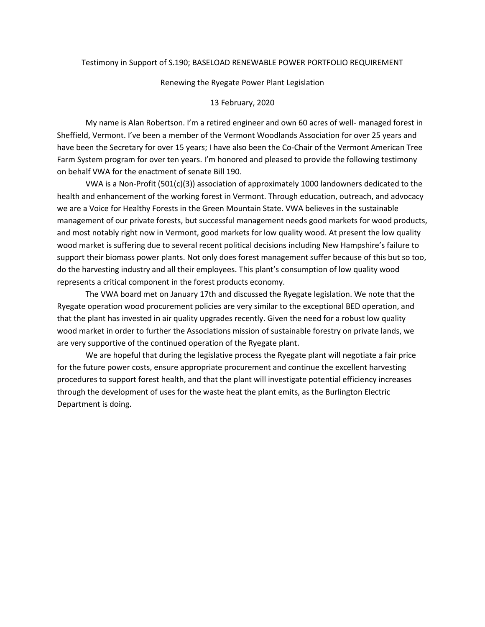#### Testimony in Support of S.190; BASELOAD RENEWABLE POWER PORTFOLIO REQUIREMENT

#### Renewing the Ryegate Power Plant Legislation

#### 13 February, 2020

My name is Alan Robertson. I'm a retired engineer and own 60 acres of well- managed forest in Sheffield, Vermont. I've been a member of the Vermont Woodlands Association for over 25 years and have been the Secretary for over 15 years; I have also been the Co-Chair of the Vermont American Tree Farm System program for over ten years. I'm honored and pleased to provide the following testimony on behalf VWA for the enactment of senate Bill 190.

VWA is a Non-Profit (501(c)(3)) association of approximately 1000 landowners dedicated to the health and enhancement of the working forest in Vermont. Through education, outreach, and advocacy we are a Voice for Healthy Forests in the Green Mountain State. VWA believes in the sustainable management of our private forests, but successful management needs good markets for wood products, and most notably right now in Vermont, good markets for low quality wood. At present the low quality wood market is suffering due to several recent political decisions including New Hampshire's failure to support their biomass power plants. Not only does forest management suffer because of this but so too, do the harvesting industry and all their employees. This plant's consumption of low quality wood represents a critical component in the forest products economy.

The VWA board met on January 17th and discussed the Ryegate legislation. We note that the Ryegate operation wood procurement policies are very similar to the exceptional BED operation, and that the plant has invested in air quality upgrades recently. Given the need for a robust low quality wood market in order to further the Associations mission of sustainable forestry on private lands, we are very supportive of the continued operation of the Ryegate plant.

We are hopeful that during the legislative process the Ryegate plant will negotiate a fair price for the future power costs, ensure appropriate procurement and continue the excellent harvesting procedures to support forest health, and that the plant will investigate potential efficiency increases through the development of uses for the waste heat the plant emits, as the Burlington Electric Department is doing.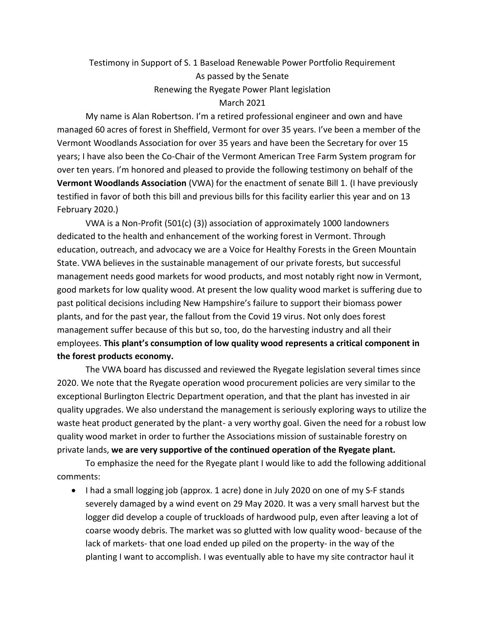# Testimony in Support of S. 1 Baseload Renewable Power Portfolio Requirement As passed by the Senate Renewing the Ryegate Power Plant legislation March 2021

My name is Alan Robertson. I'm a retired professional engineer and own and have managed 60 acres of forest in Sheffield, Vermont for over 35 years. I've been a member of the Vermont Woodlands Association for over 35 years and have been the Secretary for over 15 years; I have also been the Co-Chair of the Vermont American Tree Farm System program for over ten years. I'm honored and pleased to provide the following testimony on behalf of the **Vermont Woodlands Association** (VWA) for the enactment of senate Bill 1. (I have previously testified in favor of both this bill and previous bills for this facility earlier this year and on 13 February 2020.)

VWA is a Non-Profit (501(c) (3)) association of approximately 1000 landowners dedicated to the health and enhancement of the working forest in Vermont. Through education, outreach, and advocacy we are a Voice for Healthy Forests in the Green Mountain State. VWA believes in the sustainable management of our private forests, but successful management needs good markets for wood products, and most notably right now in Vermont, good markets for low quality wood. At present the low quality wood market is suffering due to past political decisions including New Hampshire's failure to support their biomass power plants, and for the past year, the fallout from the Covid 19 virus. Not only does forest management suffer because of this but so, too, do the harvesting industry and all their employees. **This plant's consumption of low quality wood represents a critical component in the forest products economy.**

The VWA board has discussed and reviewed the Ryegate legislation several times since 2020. We note that the Ryegate operation wood procurement policies are very similar to the exceptional Burlington Electric Department operation, and that the plant has invested in air quality upgrades. We also understand the management is seriously exploring ways to utilize the waste heat product generated by the plant- a very worthy goal. Given the need for a robust low quality wood market in order to further the Associations mission of sustainable forestry on private lands, **we are very supportive of the continued operation of the Ryegate plant.**

To emphasize the need for the Ryegate plant I would like to add the following additional comments:

• I had a small logging job (approx. 1 acre) done in July 2020 on one of my S-F stands severely damaged by a wind event on 29 May 2020. It was a very small harvest but the logger did develop a couple of truckloads of hardwood pulp, even after leaving a lot of coarse woody debris. The market was so glutted with low quality wood- because of the lack of markets- that one load ended up piled on the property- in the way of the planting I want to accomplish. I was eventually able to have my site contractor haul it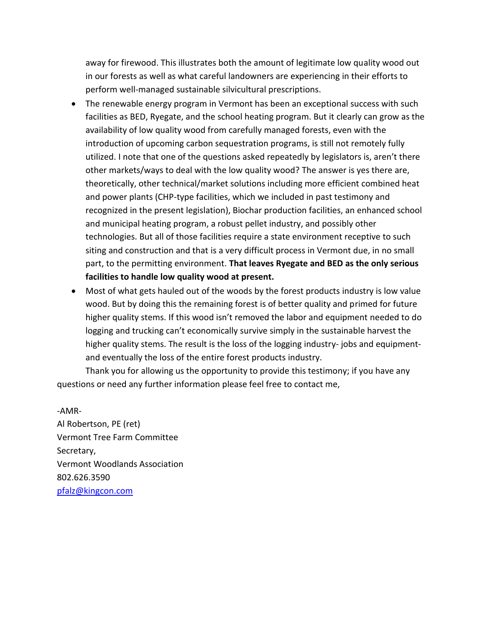away for firewood. This illustrates both the amount of legitimate low quality wood out in our forests as well as what careful landowners are experiencing in their efforts to perform well-managed sustainable silvicultural prescriptions.

- The renewable energy program in Vermont has been an exceptional success with such facilities as BED, Ryegate, and the school heating program. But it clearly can grow as the availability of low quality wood from carefully managed forests, even with the introduction of upcoming carbon sequestration programs, is still not remotely fully utilized. I note that one of the questions asked repeatedly by legislators is, aren't there other markets/ways to deal with the low quality wood? The answer is yes there are, theoretically, other technical/market solutions including more efficient combined heat and power plants (CHP-type facilities, which we included in past testimony and recognized in the present legislation), Biochar production facilities, an enhanced school and municipal heating program, a robust pellet industry, and possibly other technologies. But all of those facilities require a state environment receptive to such siting and construction and that is a very difficult process in Vermont due, in no small part, to the permitting environment. **That leaves Ryegate and BED as the only serious facilities to handle low quality wood at present.**
- Most of what gets hauled out of the woods by the forest products industry is low value wood. But by doing this the remaining forest is of better quality and primed for future higher quality stems. If this wood isn't removed the labor and equipment needed to do logging and trucking can't economically survive simply in the sustainable harvest the higher quality stems. The result is the loss of the logging industry- jobs and equipmentand eventually the loss of the entire forest products industry.

Thank you for allowing us the opportunity to provide this testimony; if you have any questions or need any further information please feel free to contact me,

-AMR-Al Robertson, PE (ret) Vermont Tree Farm Committee Secretary, Vermont Woodlands Association 802.626.3590 [pfalz@kingcon.com](mailto:pfalz@kingcon.com)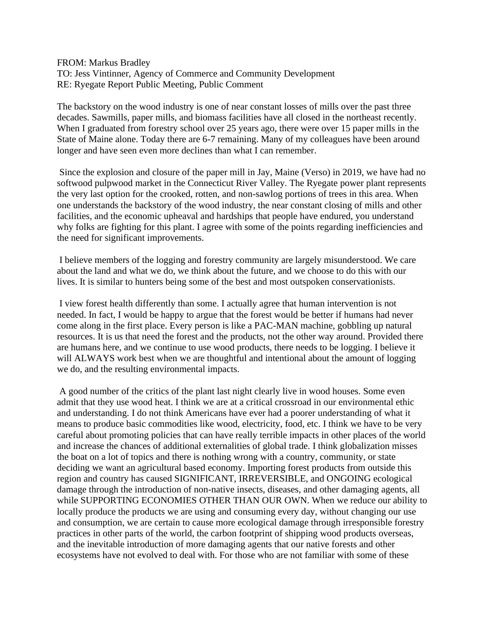FROM: Markus Bradley TO: Jess Vintinner, Agency of Commerce and Community Development RE: Ryegate Report Public Meeting, Public Comment

The backstory on the wood industry is one of near constant losses of mills over the past three decades. Sawmills, paper mills, and biomass facilities have all closed in the northeast recently. When I graduated from forestry school over 25 years ago, there were over 15 paper mills in the State of Maine alone. Today there are 6-7 remaining. Many of my colleagues have been around longer and have seen even more declines than what I can remember.

Since the explosion and closure of the paper mill in Jay, Maine (Verso) in 2019, we have had no softwood pulpwood market in the Connecticut River Valley. The Ryegate power plant represents the very last option for the crooked, rotten, and non-sawlog portions of trees in this area. When one understands the backstory of the wood industry, the near constant closing of mills and other facilities, and the economic upheaval and hardships that people have endured, you understand why folks are fighting for this plant. I agree with some of the points regarding inefficiencies and the need for significant improvements.

I believe members of the logging and forestry community are largely misunderstood. We care about the land and what we do, we think about the future, and we choose to do this with our lives. It is similar to hunters being some of the best and most outspoken conservationists.

I view forest health differently than some. I actually agree that human intervention is not needed. In fact, I would be happy to argue that the forest would be better if humans had never come along in the first place. Every person is like a PAC-MAN machine, gobbling up natural resources. It is us that need the forest and the products, not the other way around. Provided there are humans here, and we continue to use wood products, there needs to be logging. I believe it will ALWAYS work best when we are thoughtful and intentional about the amount of logging we do, and the resulting environmental impacts.

A good number of the critics of the plant last night clearly live in wood houses. Some even admit that they use wood heat. I think we are at a critical crossroad in our environmental ethic and understanding. I do not think Americans have ever had a poorer understanding of what it means to produce basic commodities like wood, electricity, food, etc. I think we have to be very careful about promoting policies that can have really terrible impacts in other places of the world and increase the chances of additional externalities of global trade. I think globalization misses the boat on a lot of topics and there is nothing wrong with a country, community, or state deciding we want an agricultural based economy. Importing forest products from outside this region and country has caused SIGNIFICANT, IRREVERSIBLE, and ONGOING ecological damage through the introduction of non-native insects, diseases, and other damaging agents, all while SUPPORTING ECONOMIES OTHER THAN OUR OWN. When we reduce our ability to locally produce the products we are using and consuming every day, without changing our use and consumption, we are certain to cause more ecological damage through irresponsible forestry practices in other parts of the world, the carbon footprint of shipping wood products overseas, and the inevitable introduction of more damaging agents that our native forests and other ecosystems have not evolved to deal with. For those who are not familiar with some of these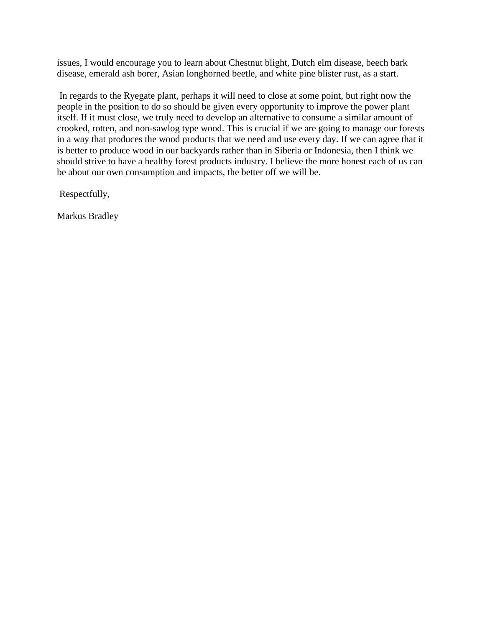issues, I would encourage you to learn about Chestnut blight, Dutch elm disease, beech bark disease, emerald ash borer, Asian longhorned beetle, and white pine blister rust, as a start.

In regards to the Ryegate plant, perhaps it will need to close at some point, but right now the people in the position to do so should be given every opportunity to improve the power plant itself. If it must close, we truly need to develop an alternative to consume a similar amount of crooked, rotten, and non-sawlog type wood. This is crucial if we are going to manage our forests in a way that produces the wood products that we need and use every day. If we can agree that it is better to produce wood in our backyards rather than in Siberia or Indonesia, then I think we should strive to have a healthy forest products industry. I believe the more honest each of us can be about our own consumption and impacts, the better off we will be.

Respectfully,

Markus Bradley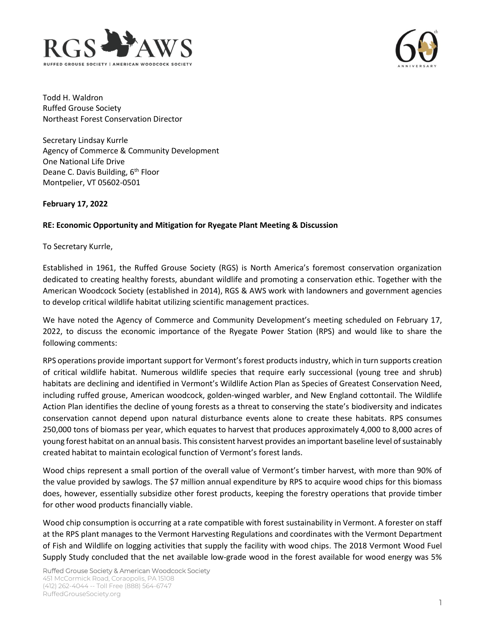



Todd H. Waldron Ruffed Grouse Society Northeast Forest Conservation Director

Secretary Lindsay Kurrle Agency of Commerce & Community Development One National Life Drive Deane C. Davis Building, 6<sup>th</sup> Floor Montpelier, VT 05602-0501

## **February 17, 2022**

## **RE: Economic Opportunity and Mitigation for Ryegate Plant Meeting & Discussion**

To Secretary Kurrle,

Established in 1961, the Ruffed Grouse Society (RGS) is North America's foremost conservation organization dedicated to creating healthy forests, abundant wildlife and promoting a conservation ethic. Together with the American Woodcock Society (established in 2014), RGS & AWS work with landowners and government agencies to develop critical wildlife habitat utilizing scientific management practices.

We have noted the Agency of Commerce and Community Development's meeting scheduled on February 17, 2022, to discuss the economic importance of the Ryegate Power Station (RPS) and would like to share the following comments:

RPS operations provide important support for Vermont's forest products industry, which in turn supports creation of critical wildlife habitat. Numerous wildlife species that require early successional (young tree and shrub) habitats are declining and identified in Vermont's Wildlife Action Plan as Species of Greatest Conservation Need, including ruffed grouse, American woodcock, golden-winged warbler, and New England cottontail. The Wildlife Action Plan identifies the decline of young forests as a threat to conserving the state's biodiversity and indicates conservation cannot depend upon natural disturbance events alone to create these habitats. RPS consumes 250,000 tons of biomass per year, which equates to harvest that produces approximately 4,000 to 8,000 acres of young forest habitat on an annual basis. This consistent harvest provides an important baseline level of sustainably created habitat to maintain ecological function of Vermont's forest lands.

Wood chips represent a small portion of the overall value of Vermont's timber harvest, with more than 90% of the value provided by sawlogs. The \$7 million annual expenditure by RPS to acquire wood chips for this biomass does, however, essentially subsidize other forest products, keeping the forestry operations that provide timber for other wood products financially viable.

Wood chip consumption is occurring at a rate compatible with forest sustainability in Vermont. A forester on staff at the RPS plant manages to the Vermont Harvesting Regulations and coordinates with the Vermont Department of Fish and Wildlife on logging activities that supply the facility with wood chips. The 2018 Vermont Wood Fuel Supply Study concluded that the net available low-grade wood in the forest available for wood energy was 5%

Ruffed Grouse Society & American Woodcock Society 451 McCormick Road, Coraopolis, PA 15108 (412) 262-4044 -- Toll Free (888) 564-6747 RuffedGrouseSociety.org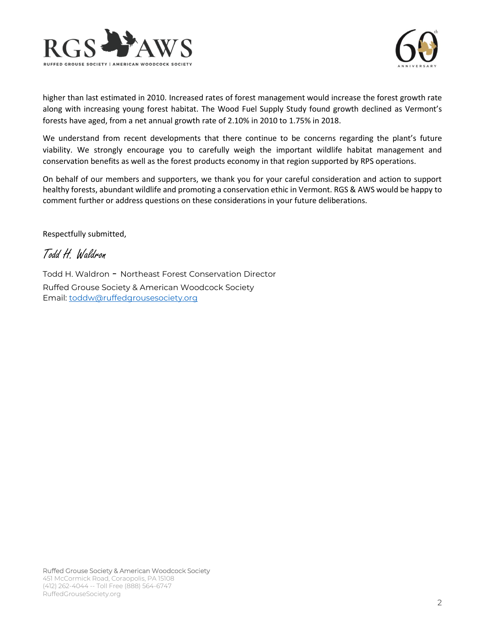



higher than last estimated in 2010. Increased rates of forest management would increase the forest growth rate along with increasing young forest habitat. The Wood Fuel Supply Study found growth declined as Vermont's forests have aged, from a net annual growth rate of 2.10% in 2010 to 1.75% in 2018.

We understand from recent developments that there continue to be concerns regarding the plant's future viability. We strongly encourage you to carefully weigh the important wildlife habitat management and conservation benefits as well as the forest products economy in that region supported by RPS operations.

On behalf of our members and supporters, we thank you for your careful consideration and action to support healthy forests, abundant wildlife and promoting a conservation ethic in Vermont. RGS & AWS would be happy to comment further or address questions on these considerations in your future deliberations.

Respectfully submitted,

Todd H. Waldron

Todd H. Waldron - Northeast Forest Conservation Director Ruffed Grouse Society & American Woodcock Society Email: [toddw@ruffedgrousesociety.org](mailto:toddw@ruffedgrousesociety.org)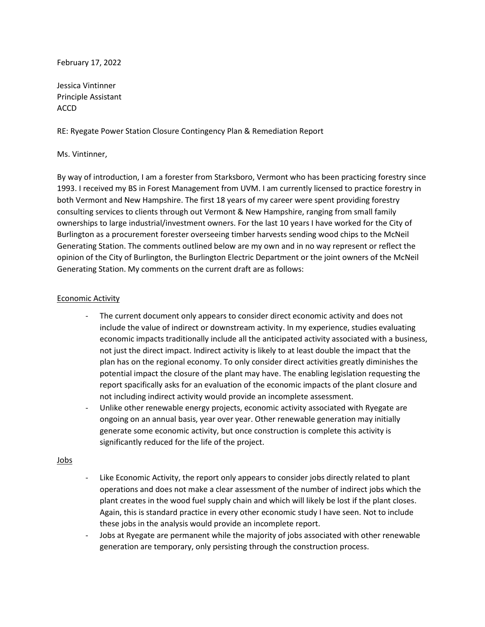## February 17, 2022

Jessica Vintinner Principle Assistant ACCD

RE: Ryegate Power Station Closure Contingency Plan & Remediation Report

## Ms. Vintinner,

By way of introduction, I am a forester from Starksboro, Vermont who has been practicing forestry since 1993. I received my BS in Forest Management from UVM. I am currently licensed to practice forestry in both Vermont and New Hampshire. The first 18 years of my career were spent providing forestry consulting services to clients through out Vermont & New Hampshire, ranging from small family ownerships to large industrial/investment owners. For the last 10 years I have worked for the City of Burlington as a procurement forester overseeing timber harvests sending wood chips to the McNeil Generating Station. The comments outlined below are my own and in no way represent or reflect the opinion of the City of Burlington, the Burlington Electric Department or the joint owners of the McNeil Generating Station. My comments on the current draft are as follows:

### Economic Activity

- The current document only appears to consider direct economic activity and does not include the value of indirect or downstream activity. In my experience, studies evaluating economic impacts traditionally include all the anticipated activity associated with a business, not just the direct impact. Indirect activity is likely to at least double the impact that the plan has on the regional economy. To only consider direct activities greatly diminishes the potential impact the closure of the plant may have. The enabling legislation requesting the report spacifically asks for an evaluation of the economic impacts of the plant closure and not including indirect activity would provide an incomplete assessment.
- Unlike other renewable energy projects, economic activity associated with Ryegate are ongoing on an annual basis, year over year. Other renewable generation may initially generate some economic activity, but once construction is complete this activity is significantly reduced for the life of the project.

#### Jobs

- Like Economic Activity, the report only appears to consider jobs directly related to plant operations and does not make a clear assessment of the number of indirect jobs which the plant creates in the wood fuel supply chain and which will likely be lost if the plant closes. Again, this is standard practice in every other economic study I have seen. Not to include these jobs in the analysis would provide an incomplete report.
- Jobs at Ryegate are permanent while the majority of jobs associated with other renewable generation are temporary, only persisting through the construction process.